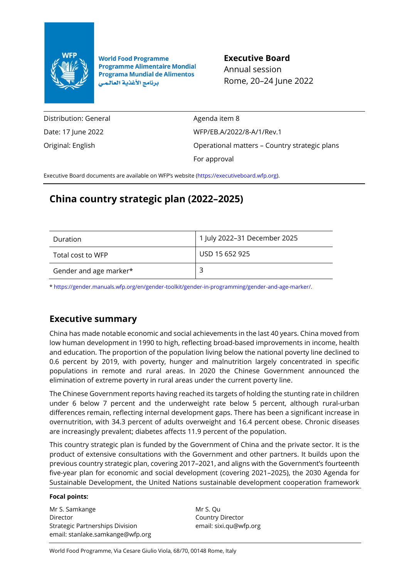

**World Food Programme Programme Alimentaire Mondial Programa Mundial de Alimentos** برنامج الأغذية العالمي

## **Executive Board**

Annual session Rome, 20–24 June 2022

Distribution: General Date: 17 June 2022 Original: English

Agenda item 8 WFP/EB.A/2022/8-A/1/Rev.1 Operational matters – Country strategic plans For approval

Executive Board documents are available on WFP's website [\(https://executiveboard.wfp.org\)](https://executiveboard.wfp.org/).

# **China country strategic plan (2022–2025)**

| Duration               | 1 July 2022-31 December 2025 |
|------------------------|------------------------------|
| Total cost to WFP      | USD 15 652 925               |
| Gender and age marker* |                              |

[\\* https://gender.manuals.wfp.org/en/gender-toolkit/gender-in-programming/gender-and-age-marker/.](https://gender.manuals.wfp.org/en/gender-toolkit/gender-in-programming/gender-and-age-marker/)

## **Executive summary**

China has made notable economic and social achievements in the last 40 years. China moved from low human development in 1990 to high, reflecting broad-based improvements in income, health and education. The proportion of the population living below the national poverty line declined to 0.6 percent by 2019, with poverty, hunger and malnutrition largely concentrated in specific populations in remote and rural areas. In 2020 the Chinese Government announced the elimination of extreme poverty in rural areas under the current poverty line.

The Chinese Government reports having reached its targets of holding the stunting rate in children under 6 below 7 percent and the underweight rate below 5 percent, although rural-urban differences remain, reflecting internal development gaps. There has been a significant increase in overnutrition, with 34.3 percent of adults overweight and 16.4 percent obese. Chronic diseases are increasingly prevalent; diabetes affects 11.9 percent of the population.

This country strategic plan is funded by the Government of China and the private sector. It is the product of extensive consultations with the Government and other partners. It builds upon the previous country strategic plan, covering 2017–2021, and aligns with the Government's fourteenth five-year plan for economic and social development (covering 2021–2025), the 2030 Agenda for Sustainable Development, the United Nations sustainable development cooperation framework

#### **Focal points:**

Mr S. Samkange Director Strategic Partnerships Division email: stanlake.samkange@wfp.org Mr S. Qu Country Director email: sixi.qu@wfp.org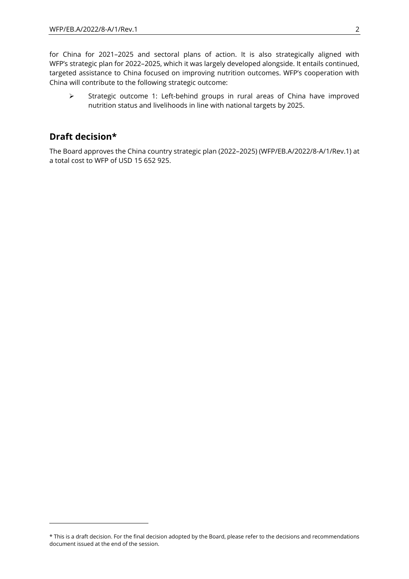for China for 2021–2025 and sectoral plans of action. It is also strategically aligned with WFP's strategic plan for 2022–2025, which it was largely developed alongside. It entails continued, targeted assistance to China focused on improving nutrition outcomes. WFP's cooperation with China will contribute to the following strategic outcome:

➢ Strategic outcome 1: Left-behind groups in rural areas of China have improved nutrition status and livelihoods in line with national targets by 2025.

## **Draft decision\***

The Board approves the China country strategic plan (2022–2025) (WFP/EB.A/2022/8-A/1/Rev.1) at a total cost to WFP of USD 15 652 925.

<sup>\*</sup> This is a draft decision. For the final decision adopted by the Board, please refer to the decisions and recommendations document issued at the end of the session.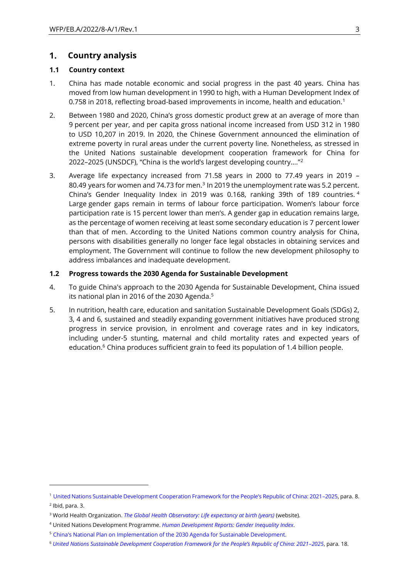#### $\mathbf{1}$ . **Country analysis**

#### **1.1 Country context**

- 1. China has made notable economic and social progress in the past 40 years. China has moved from low human development in 1990 to high, with a Human Development Index of 0.758 in 2018, reflecting broad-based improvements in income, health and education.<sup>1</sup>
- 2. Between 1980 and 2020, China's gross domestic product grew at an average of more than 9 percent per year, and per capita gross national income increased from USD 312 in 1980 to USD 10,207 in 2019. In 2020, the Chinese Government announced the elimination of extreme poverty in rural areas under the current poverty line. Nonetheless, as stressed in the United Nations sustainable development cooperation framework for China for 2022–2025 (UNSDCF), "China is the world's largest developing country…."<sup>2</sup>
- 3. Average life expectancy increased from 71.58 years in 2000 to 77.49 years in 2019 80.49 years for women and 74.73 for men.<sup>3</sup> In 2019 the unemployment rate was 5.2 percent. China's Gender Inequality Index in 2019 was 0.168, ranking 39th of 189 countries. <sup>4</sup> Large gender gaps remain in terms of labour force participation. Women's labour force participation rate is 15 percent lower than men's. A gender gap in education remains large, as the percentage of women receiving at least some secondary education is 7 percent lower than that of men. According to the United Nations common country analysis for China, persons with disabilities generally no longer face legal obstacles in obtaining services and employment. The Government will continue to follow the new development philosophy to address imbalances and inadequate development.

#### **1.2 Progress towards the 2030 Agenda for Sustainable Development**

- 4. To guide China's approach to the 2030 Agenda for Sustainable Development, China issued its national plan in 2016 of the 2030 Agenda.<sup>5</sup>
- 5. In nutrition, health care, education and sanitation Sustainable Development Goals (SDGs) 2, 3, 4 and 6, sustained and steadily expanding government initiatives have produced strong progress in service provision, in enrolment and coverage rates and in key indicators, including under-5 stunting, maternal and child mortality rates and expected years of education.<sup>6</sup> China produces sufficient grain to feed its population of 1.4 billion people.

<sup>1</sup> United N[ations Sustainable Development Cooperation Framework for the People's Republic of China: 2021–](https://unsdg.un.org/sites/default/files/2020-11/China-UNSDCF-2021-2025.pdf)2025, para. 8. 2 Ibid, para. 3.

<sup>3</sup> World Health Organization. *Th[e Global Health Observatory: Life expectancy at birth \(years\)](https://www.who.int/data/gho/data/indicators/indicator-details/GHO/life-expectancy-at-birth-(years))* (website)*.*

<sup>4</sup> United Nations Development Programme. *[Human Development Reports: Gender Inequality Index](http://www.hdr.undp.org/en/composite/GII)*.

<sup>5</sup> [China's National Plan on Implementation of the](https://eur03.safelinks.protection.outlook.com/?url=http%3A%2F%2Fwww.chinadaily.com.cn%2Fspecials%2FChina%27sNationalPlanonimplementationofagenda(EN).pdf&data=04%7C01%7Chan.jiang%40wfp.org%7Ce1998046377b4d3ed8aa08d99ce949a2%7C462ad9aed7d94206b87471b1e079776f%7C0%7C0%7C637713348050550031%7CUnknown%7CTWFpbGZsb3d8eyJWIjoiMC4wLjAwMDAiLCJQIjoiV2luMzIiLCJBTiI6Ik1haWwiLCJXVCI6Mn0%3D%7C1000&sdata=3wrMiV%2BSNiHMoYKlg0NBOUmZWYeoZwi947yeyJrbLPo%3D&reserved=0) 2030 Agenda for Sustainable Development.

<sup>6</sup> *[United Nations Sustainable Development Cooperation Framework for the People's Republic of China: 2021–](https://unsdg.un.org/sites/default/files/2020-11/China-UNSDCF-2021-2025.pdf)2025*, para. 18.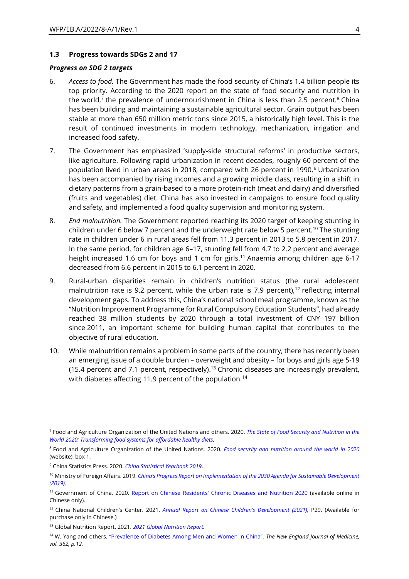#### **1.3 Progress towards SDGs 2 and 17**

#### *Progress on SDG 2 targets*

- 6. *Access to food.* The Government has made the food security of China's 1.4 billion people its top priority. According to the 2020 report on the state of food security and nutrition in the world,<sup>7</sup> the prevalence of undernourishment in China is less than 2.5 percent.<sup>8</sup> China has been building and maintaining a sustainable agricultural sector. Grain output has been stable at more than 650 million metric tons since 2015, a historically high level. This is the result of continued investments in modern technology, mechanization, irrigation and increased food safety.
- 7. The Government has emphasized 'supply-side structural reforms' in productive sectors, like agriculture. Following rapid urbanization in recent decades, roughly 60 percent of the population lived in urban areas in 2018, compared with 26 percent in 1990.<sup>9</sup> Urbanization has been accompanied by rising incomes and a growing middle class, resulting in a shift in dietary patterns from a grain-based to a more protein-rich (meat and dairy) and diversified (fruits and vegetables) diet. China has also invested in campaigns to ensure food quality and safety, and implemented a food quality supervision and monitoring system.
- 8. *End malnutrition.* The Government reported reaching its 2020 target of keeping stunting in children under 6 below 7 percent and the underweight rate below 5 percent.<sup>10</sup> The stunting rate in children under 6 in rural areas fell from 11.3 percent in 2013 to 5.8 percent in 2017. In the same period, for children age 6–17, stunting fell from 4.7 to 2.2 percent and average height increased 1.6 cm for boys and 1 cm for girls.<sup>11</sup> Anaemia among children age 6-17 decreased from 6.6 percent in 2015 to 6.1 percent in 2020.
- 9. Rural-urban disparities remain in children's nutrition status (the rural adolescent malnutrition rate is 9.2 percent, while the urban rate is 7.9 percent),<sup>12</sup> reflecting internal development gaps. To address this, China's national school meal programme, known as the "Nutrition Improvement Programme for Rural Compulsory Education Students", had already reached 38 million students by 2020 through a total investment of CNY 197 billion since 2011, an important scheme for building human capital that contributes to the objective of rural education.
- 10. While malnutrition remains a problem in some parts of the country, there has recently been an emerging issue of a double burden – overweight and obesity – for boys and girls age 5-19 (15.4 percent and 7.1 percent, respectively).<sup>13</sup> Chronic diseases are increasingly prevalent, with diabetes affecting 11.9 percent of the population.<sup>14</sup>

<sup>7</sup> Food and Agriculture Organization of the United Nations and others. 2020. *[The State of Food Security and Nutrition in the](https://www.fao.org/publications/sofi/2020/en/)  World [2020: Transforming food systems for affordable healthy diets.](https://www.fao.org/publications/sofi/2020/en/)*

<sup>8</sup> Food and Agriculture Organization of the United Nations. 2020. *[Food security and nutrition around the world](https://www.fao.org/3/ca9692en/online/ca9692en.html#chapter-1_1) in 2020* (website), box 1.

<sup>9</sup> China Statistics Press. 2020. *[China Statistical Yearbook 2019](http://www.stats.gov.cn/tjsj/ndsj/2019/indexeh.htm)*.

<sup>10</sup> Ministry of Foreign Affairs. 2019. *[China's Progress Report on Implementation of the 2030 Agenda for Sustainable Development](http://www.xinhuanet.com/english/download/ChinaProgressReportImplementation2030AgendaSustainableDevelopment.pdf)  [\(2019\).](http://www.xinhuanet.com/english/download/ChinaProgressReportImplementation2030AgendaSustainableDevelopment.pdf)*

<sup>&</sup>lt;sup>11</sup> Government of China. 2020. [Report on Chinese Residents' Chronic Diseases and Nutrition 2020](http://www.gov.cn/xinwen/2020-12/24/content_5572983.htm) (available online in Chinese only).

<sup>12</sup> China National Children's Center. 2021. *[Annual Report on Chinese Children's Development \(2021\)](https://xianxiao.ssap.com.cn/bibliography/detail/id/1879064.html#book_this_info),* P29. (Available for purchase only in Chinese.)

<sup>13</sup> Global Nutrition Report. 2021. *[2021 Global Nutrition Report.](https://globalnutritionreport.org/)*

<sup>14</sup> W. Yang and others. ["Prevalence of Diabetes Among Men and Women in China".](https://www.nejm.org/doi/pdf/10.1056/NEJMoa0908292?articleTools=true) *The New England Journal of Medicine, vol. 362, p.12.*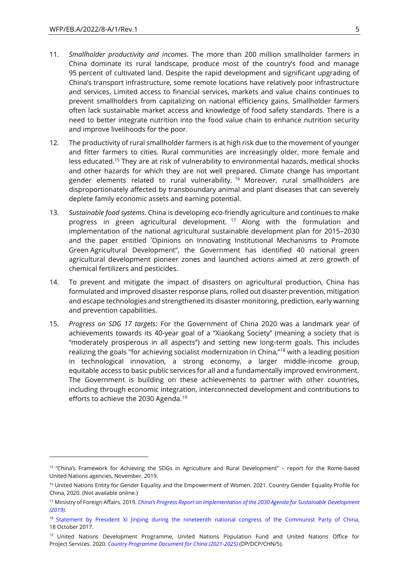- 11. *Smallholder productivity and incomes.* The more than 200 million smallholder farmers in China dominate its rural landscape, produce most of the country's food and manage 95 percent of cultivated land. Despite the rapid development and significant upgrading of China's transport infrastructure, some remote locations have relatively poor infrastructure and services. Limited access to financial services, markets and value chains continues to prevent smallholders from capitalizing on national efficiency gains. Smallholder farmers often lack sustainable market access and knowledge of food safety standards. There is a need to better integrate nutrition into the food value chain to enhance nutrition security and improve livelihoods for the poor.
- 12. The productivity of rural smallholder farmers is at high risk due to the movement of younger and fitter farmers to cities. Rural communities are increasingly older, more female and less educated.<sup>15</sup> They are at risk of vulnerability to environmental hazards, medical shocks and other hazards for which they are not well prepared. Climate change has important gender elements related to rural vulnerability. <sup>16</sup> Moreover, rural smallholders are disproportionately affected by transboundary animal and plant diseases that can severely deplete family economic assets and earning potential.
- 13. *Sustainable food systems.* China is developing eco-friendly agriculture and continues to make progress in green agricultural development. <sup>17</sup> Along with the formulation and implementation of the national agricultural sustainable development plan for 2015–2030 and the paper entitled "Opinions on Innovating Institutional Mechanisms to Promote Green Agricultural Development", the Government has identified 40 national green agricultural development pioneer zones and launched actions aimed at zero growth of chemical fertilizers and pesticides.
- 14. To prevent and mitigate the impact of disasters on agricultural production, China has formulated and improved disaster response plans, rolled out disaster prevention, mitigation and escape technologies and strengthened its disaster monitoring, prediction, early warning and prevention capabilities.
- 15. *Progress on SDG 17 targets:* For the Government of China 2020 was a landmark year of achievements towards its 40-year goal of a "Xiaokang Society" (meaning a society that is "moderately prosperous in all aspects") and setting new long-term goals. This includes realizing the goals "for achieving socialist modernization in China,"<sup>18</sup> with a leading position in technological innovation, a strong economy, a larger middle-income group, equitable access to basic public services for all and a fundamentally improved environment. The Government is building on these achievements to partner with other countries, including through economic integration, interconnected development and contributions to efforts to achieve the 2030 Agenda.<sup>19</sup>

<sup>15</sup> "China's Framework for Achieving the SDGs in Agriculture and Rural Development" – report for the Rome-based United Nations agencies, November, 2019.

<sup>&</sup>lt;sup>16</sup> United Nations Entity for Gender Equality and the Empowerment of Women. 2021. Country Gender Equality Profile for China, 2020. (Not available online.)

<sup>17</sup> Ministry of Foreign Affairs. 2019. *[China's Progress Report on Implementation of the 2030 Agenda for Sustainable](http://www.xinhuanet.com/english/download/ChinaProgressReportImplementation2030AgendaSustainableDevelopment.pdf) Development [\(2019\).](http://www.xinhuanet.com/english/download/ChinaProgressReportImplementation2030AgendaSustainableDevelopment.pdf)*

<sup>&</sup>lt;sup>18</sup> Statement by President Xi Jinping during the nineteenth national congress of the Communist Party of China, 18 October 2017.

<sup>&</sup>lt;sup>19</sup> United Nations Development Programme, United Nations Population Fund and United Nations Office for Project Services. 2020. *[Country Programme Document for China \(2021-2025\)](https://documents-dds-ny.un.org/doc/UNDOC/GEN/N20/379/18/PDF/N2037918.pdf?OpenElement)* (DP/DCP/CHN/5).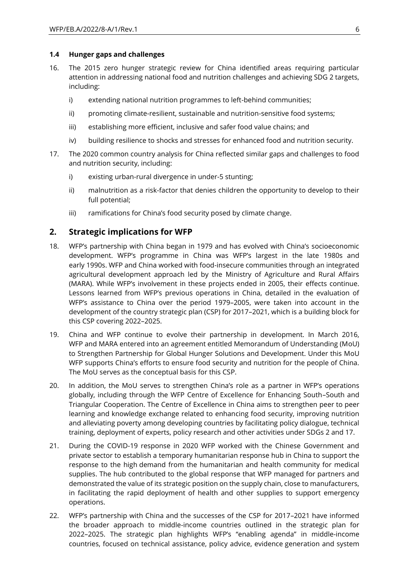#### **1.4 Hunger gaps and challenges**

- 16. The 2015 zero hunger strategic review for China identified areas requiring particular attention in addressing national food and nutrition challenges and achieving SDG 2 targets, including:
	- i) extending national nutrition programmes to left-behind communities;
	- ii) promoting climate-resilient, sustainable and nutrition-sensitive food systems;
	- iii) establishing more efficient, inclusive and safer food value chains; and
	- iv) building resilience to shocks and stresses for enhanced food and nutrition security.
- 17. The 2020 common country analysis for China reflected similar gaps and challenges to food and nutrition security, including:
	- i) existing urban-rural divergence in under-5 stunting;
	- ii) malnutrition as a risk-factor that denies children the opportunity to develop to their full potential;
	- iii) ramifications for China's food security posed by climate change.

### **2. Strategic implications for WFP**

- 18. WFP's partnership with China began in 1979 and has evolved with China's socioeconomic development. WFP's programme in China was WFP's largest in the late 1980s and early 1990s. WFP and China worked with food-insecure communities through an integrated agricultural development approach led by the Ministry of Agriculture and Rural Affairs (MARA). While WFP's involvement in these projects ended in 2005, their effects continue. Lessons learned from WFP's previous operations in China, detailed in the evaluation of WFP's assistance to China over the period 1979–2005, were taken into account in the development of the country strategic plan (CSP) for 2017–2021, which is a building block for this CSP covering 2022–2025.
- 19. China and WFP continue to evolve their partnership in development. In March 2016, WFP and MARA entered into an agreement entitled Memorandum of Understanding (MoU) to Strengthen Partnership for Global Hunger Solutions and Development. Under this MoU WFP supports China's efforts to ensure food security and nutrition for the people of China. The MoU serves as the conceptual basis for this CSP.
- 20. In addition, the MoU serves to strengthen China's role as a partner in WFP's operations globally, including through the WFP Centre of Excellence for Enhancing South–South and Triangular Cooperation. The Centre of Excellence in China aims to strengthen peer to peer learning and knowledge exchange related to enhancing food security, improving nutrition and alleviating poverty among developing countries by facilitating policy dialogue, technical training, deployment of experts, policy research and other activities under SDGs 2 and 17.
- 21. During the COVID-19 response in 2020 WFP worked with the Chinese Government and private sector to establish a temporary humanitarian response hub in China to support the response to the high demand from the humanitarian and health community for medical supplies. The hub contributed to the global response that WFP managed for partners and demonstrated the value of its strategic position on the supply chain, close to manufacturers, in facilitating the rapid deployment of health and other supplies to support emergency operations.
- 22. WFP's partnership with China and the successes of the CSP for 2017–2021 have informed the broader approach to middle-income countries outlined in the strategic plan for 2022–2025. The strategic plan highlights WFP's "enabling agenda" in middle-income countries, focused on technical assistance, policy advice, evidence generation and system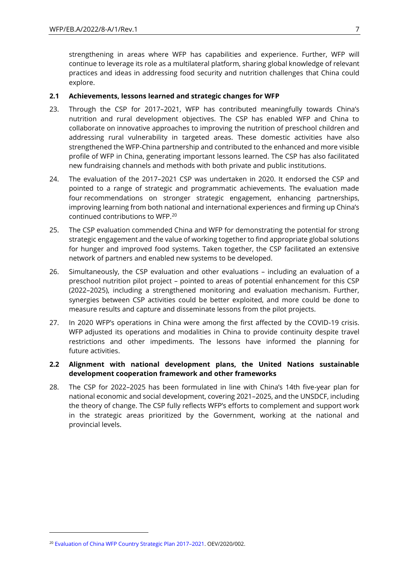strengthening in areas where WFP has capabilities and experience. Further, WFP will continue to leverage its role as a multilateral platform, sharing global knowledge of relevant practices and ideas in addressing food security and nutrition challenges that China could explore.

### **2.1 Achievements, lessons learned and strategic changes for WFP**

- 23. Through the CSP for 2017–2021, WFP has contributed meaningfully towards China's nutrition and rural development objectives. The CSP has enabled WFP and China to collaborate on innovative approaches to improving the nutrition of preschool children and addressing rural vulnerability in targeted areas. These domestic activities have also strengthened the WFP-China partnership and contributed to the enhanced and more visible profile of WFP in China, generating important lessons learned. The CSP has also facilitated new fundraising channels and methods with both private and public institutions.
- 24. The evaluation of the 2017–2021 CSP was undertaken in 2020. It endorsed the CSP and pointed to a range of strategic and programmatic achievements. The evaluation made four recommendations on stronger strategic engagement, enhancing partnerships, improving learning from both national and international experiences and firming up China's continued contributions to WFP.<sup>20</sup>
- 25. The CSP evaluation commended China and WFP for demonstrating the potential for strong strategic engagement and the value of working together to find appropriate global solutions for hunger and improved food systems. Taken together, the CSP facilitated an extensive network of partners and enabled new systems to be developed.
- 26. Simultaneously, the CSP evaluation and other evaluations including an evaluation of a preschool nutrition pilot project – pointed to areas of potential enhancement for this CSP (2022–2025), including a strengthened monitoring and evaluation mechanism. Further, synergies between CSP activities could be better exploited, and more could be done to measure results and capture and disseminate lessons from the pilot projects.
- 27. In 2020 WFP's operations in China were among the first affected by the COVID-19 crisis. WFP adjusted its operations and modalities in China to provide continuity despite travel restrictions and other impediments. The lessons have informed the planning for future activities.

### **2.2 Alignment with national development plans, the United Nations sustainable development cooperation framework and other frameworks**

28. The CSP for 2022–2025 has been formulated in line with China's 14th five-year plan for national economic and social development, covering 2021–2025, and the UNSDCF, including the theory of change. The CSP fully reflects WFP's efforts to complement and support work in the strategic areas prioritized by the Government, working at the national and provincial levels.

<sup>&</sup>lt;sup>20</sup> [Evaluation of China WFP Country Strategic Plan 2017](https://newgo.wfp.org/documents/china-country-strategic-plan-evaluation-2017-2021)-2021. OEV/2020/002.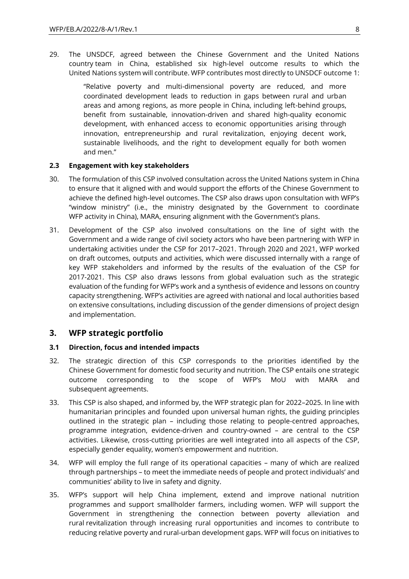29. The UNSDCF, agreed between the Chinese Government and the United Nations country team in China, established six high-level outcome results to which the United Nations system will contribute. WFP contributes most directly to UNSDCF outcome 1:

> "Relative poverty and multi-dimensional poverty are reduced, and more coordinated development leads to reduction in gaps between rural and urban areas and among regions, as more people in China, including left-behind groups, benefit from sustainable, innovation-driven and shared high-quality economic development, with enhanced access to economic opportunities arising through innovation, entrepreneurship and rural revitalization, enjoying decent work, sustainable livelihoods, and the right to development equally for both women and men."

#### **2.3 Engagement with key stakeholders**

- 30. The formulation of this CSP involved consultation across the United Nations system in China to ensure that it aligned with and would support the efforts of the Chinese Government to achieve the defined high-level outcomes. The CSP also draws upon consultation with WFP's "window ministry" (i.e., the ministry designated by the Government to coordinate WFP activity in China), MARA, ensuring alignment with the Government's plans.
- 31. Development of the CSP also involved consultations on the line of sight with the Government and a wide range of civil society actors who have been partnering with WFP in undertaking activities under the CSP for 2017–2021. Through 2020 and 2021, WFP worked on draft outcomes, outputs and activities, which were discussed internally with a range of key WFP stakeholders and informed by the results of the evaluation of the CSP for 2017-2021. This CSP also draws lessons from global evaluation such as the strategic evaluation of the funding for WFP's work and a synthesis of evidence and lessons on country capacity strengthening. WFP's activities are agreed with national and local authorities based on extensive consultations, including discussion of the gender dimensions of project design and implementation.

### **3. WFP strategic portfolio**

#### **3.1 Direction, focus and intended impacts**

- 32. The strategic direction of this CSP corresponds to the priorities identified by the Chinese Government for domestic food security and nutrition. The CSP entails one strategic outcome corresponding to the scope of WFP's MoU with MARA and subsequent agreements.
- 33. This CSP is also shaped, and informed by, the WFP strategic plan for 2022–2025. In line with humanitarian principles and founded upon universal human rights, the guiding principles outlined in the strategic plan – including those relating to people-centred approaches, programme integration, evidence-driven and country-owned – are central to the CSP activities. Likewise, cross-cutting priorities are well integrated into all aspects of the CSP, especially gender equality, women's empowerment and nutrition.
- 34. WFP will employ the full range of its operational capacities many of which are realized through partnerships – to meet the immediate needs of people and protect individuals' and communities' ability to live in safety and dignity.
- 35. WFP's support will help China implement, extend and improve national nutrition programmes and support smallholder farmers, including women. WFP will support the Government in strengthening the connection between poverty alleviation and rural revitalization through increasing rural opportunities and incomes to contribute to reducing relative poverty and rural-urban development gaps. WFP will focus on initiatives to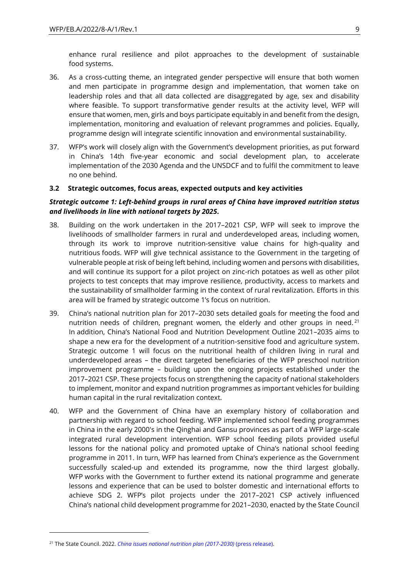enhance rural resilience and pilot approaches to the development of sustainable food systems.

- 36. As a cross-cutting theme, an integrated gender perspective will ensure that both women and men participate in programme design and implementation, that women take on leadership roles and that all data collected are disaggregated by age, sex and disability where feasible. To support transformative gender results at the activity level, WFP will ensure that women, men, girls and boys participate equitably in and benefit from the design, implementation, monitoring and evaluation of relevant programmes and policies. Equally, programme design will integrate scientific innovation and environmental sustainability.
- 37. WFP's work will closely align with the Government's development priorities, as put forward in China's 14th five-year economic and social development plan, to accelerate implementation of the 2030 Agenda and the UNSDCF and to fulfil the commitment to leave no one behind.

#### **3.2 Strategic outcomes, focus areas, expected outputs and key activities**

#### *Strategic outcome 1: Left-behind groups in rural areas of China have improved nutrition status and livelihoods in line with national targets by 2025.*

- 38. Building on the work undertaken in the 2017–2021 CSP, WFP will seek to improve the livelihoods of smallholder farmers in rural and underdeveloped areas, including women, through its work to improve nutrition-sensitive value chains for high-quality and nutritious foods. WFP will give technical assistance to the Government in the targeting of vulnerable people at risk of being left behind, including women and persons with disabilities, and will continue its support for a pilot project on zinc-rich potatoes as well as other pilot projects to test concepts that may improve resilience, productivity, access to markets and the sustainability of smallholder farming in the context of rural revitalization. Efforts in this area will be framed by strategic outcome 1's focus on nutrition.
- 39. China's national nutrition plan for 2017–2030 sets detailed goals for meeting the food and nutrition needs of children, pregnant women, the elderly and other groups in need.<sup>21</sup> In addition, China's National Food and Nutrition Development Outline 2021–2035 aims to shape a new era for the development of a nutrition-sensitive food and agriculture system. Strategic outcome 1 will focus on the nutritional health of children living in rural and underdeveloped areas – the direct targeted beneficiaries of the WFP preschool nutrition improvement programme – building upon the ongoing projects established under the 2017–2021 CSP. These projects focus on strengthening the capacity of national stakeholders to implement, monitor and expand nutrition programmes as important vehicles for building human capital in the rural revitalization context.
- 40. WFP and the Government of China have an exemplary history of collaboration and partnership with regard to school feeding. WFP implemented school feeding programmes in China in the early 2000's in the Qinghai and Gansu provinces as part of a WFP large-scale integrated rural development intervention. WFP school feeding pilots provided useful lessons for the national policy and promoted uptake of China's national school feeding programme in 2011. In turn, WFP has learned from China's experience as the Government successfully scaled-up and extended its programme, now the third largest globally. WFP works with the Government to further extend its national programme and generate lessons and experience that can be used to bolster domestic and international efforts to achieve SDG 2. WFP's pilot projects under the 2017–2021 CSP actively influenced China's national child development programme for 2021–2030, enacted by the State Council

<sup>21</sup> The State Council. 2022. *[China issues national nutrition plan \(2017-2030\)](http://english.www.gov.cn/policies/latest_releases/2017/07/13/content_281475725038850.htm)* (press release).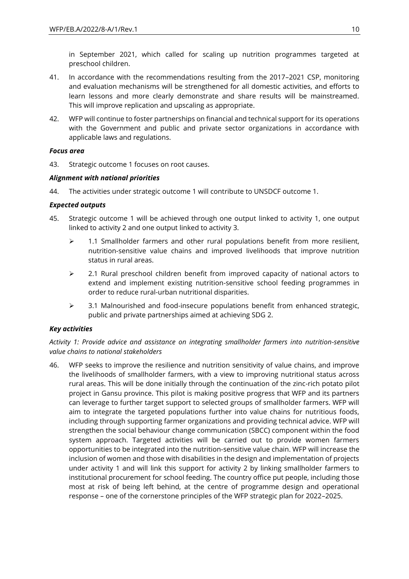in September 2021, which called for scaling up nutrition programmes targeted at preschool children.

- 41. In accordance with the recommendations resulting from the 2017–2021 CSP, monitoring and evaluation mechanisms will be strengthened for all domestic activities, and efforts to learn lessons and more clearly demonstrate and share results will be mainstreamed. This will improve replication and upscaling as appropriate.
- 42. WFP will continue to foster partnerships on financial and technical support for its operations with the Government and public and private sector organizations in accordance with applicable laws and regulations.

#### *Focus area*

43. Strategic outcome 1 focuses on root causes.

#### *Alignment with national priorities*

44. The activities under strategic outcome 1 will contribute to UNSDCF outcome 1.

#### *Expected outputs*

- 45. Strategic outcome 1 will be achieved through one output linked to activity 1, one output linked to activity 2 and one output linked to activity 3.
	- $\geq$  1.1 Smallholder farmers and other rural populations benefit from more resilient, nutrition-sensitive value chains and improved livelihoods that improve nutrition status in rural areas.
	- $\geq$  2.1 Rural preschool children benefit from improved capacity of national actors to extend and implement existing nutrition-sensitive school feeding programmes in order to reduce rural-urban nutritional disparities.
	- $\geq$  3.1 Malnourished and food-insecure populations benefit from enhanced strategic, public and private partnerships aimed at achieving SDG 2.

### *Key activities*

*Activity 1: Provide advice and assistance on integrating smallholder farmers into nutrition-sensitive value chains to national stakeholders*

46. WFP seeks to improve the resilience and nutrition sensitivity of value chains, and improve the livelihoods of smallholder farmers, with a view to improving nutritional status across rural areas. This will be done initially through the continuation of the zinc-rich potato pilot project in Gansu province. This pilot is making positive progress that WFP and its partners can leverage to further target support to selected groups of smallholder farmers. WFP will aim to integrate the targeted populations further into value chains for nutritious foods, including through supporting farmer organizations and providing technical advice. WFP will strengthen the social behaviour change communication (SBCC) component within the food system approach. Targeted activities will be carried out to provide women farmers opportunities to be integrated into the nutrition-sensitive value chain. WFP will increase the inclusion of women and those with disabilities in the design and implementation of projects under activity 1 and will link this support for activity 2 by linking smallholder farmers to institutional procurement for school feeding. The country office put people, including those most at risk of being left behind, at the centre of programme design and operational response – one of the cornerstone principles of the WFP strategic plan for 2022–2025.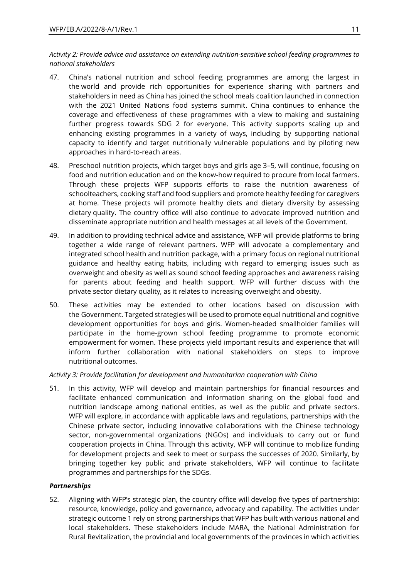*Activity 2: Provide advice and assistance on extending nutrition-sensitive school feeding programmes to national stakeholders*

- 47. China's national nutrition and school feeding programmes are among the largest in the world and provide rich opportunities for experience sharing with partners and stakeholders in need as China has joined the school meals coalition launched in connection with the 2021 United Nations food systems summit. China continues to enhance the coverage and effectiveness of these programmes with a view to making and sustaining further progress towards SDG 2 for everyone. This activity supports scaling up and enhancing existing programmes in a variety of ways, including by supporting national capacity to identify and target nutritionally vulnerable populations and by piloting new approaches in hard-to-reach areas.
- 48. Preschool nutrition projects, which target boys and girls age 3–5, will continue, focusing on food and nutrition education and on the know-how required to procure from local farmers. Through these projects WFP supports efforts to raise the nutrition awareness of schoolteachers, cooking staff and food suppliers and promote healthy feeding for caregivers at home. These projects will promote healthy diets and dietary diversity by assessing dietary quality. The country office will also continue to advocate improved nutrition and disseminate appropriate nutrition and health messages at all levels of the Government.
- 49. In addition to providing technical advice and assistance, WFP will provide platforms to bring together a wide range of relevant partners. WFP will advocate a complementary and integrated school health and nutrition package, with a primary focus on regional nutritional guidance and healthy eating habits, including with regard to emerging issues such as overweight and obesity as well as sound school feeding approaches and awareness raising for parents about feeding and health support. WFP will further discuss with the private sector dietary quality, as it relates to increasing overweight and obesity.
- 50. These activities may be extended to other locations based on discussion with the Government. Targeted strategies will be used to promote equal nutritional and cognitive development opportunities for boys and girls. Women-headed smallholder families will participate in the home-grown school feeding programme to promote economic empowerment for women. These projects yield important results and experience that will inform further collaboration with national stakeholders on steps to improve nutritional outcomes.

### *Activity 3: Provide facilitation for development and humanitarian cooperation with China*

51. In this activity, WFP will develop and maintain partnerships for financial resources and facilitate enhanced communication and information sharing on the global food and nutrition landscape among national entities, as well as the public and private sectors. WFP will explore, in accordance with applicable laws and regulations, partnerships with the Chinese private sector, including innovative collaborations with the Chinese technology sector, non-governmental organizations (NGOs) and individuals to carry out or fund cooperation projects in China. Through this activity, WFP will continue to mobilize funding for development projects and seek to meet or surpass the successes of 2020. Similarly, by bringing together key public and private stakeholders, WFP will continue to facilitate programmes and partnerships for the SDGs.

### *Partnerships*

52. Aligning with WFP's strategic plan, the country office will develop five types of partnership: resource, knowledge, policy and governance, advocacy and capability. The activities under strategic outcome 1 rely on strong partnerships that WFP has built with various national and local stakeholders. These stakeholders include MARA, the National Administration for Rural Revitalization, the provincial and local governments of the provinces in which activities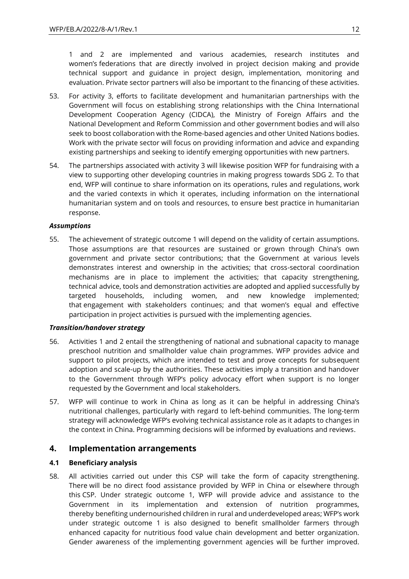1 and 2 are implemented and various academies, research institutes and women's federations that are directly involved in project decision making and provide technical support and guidance in project design, implementation, monitoring and evaluation. Private sector partners will also be important to the financing of these activities.

- 53. For activity 3, efforts to facilitate development and humanitarian partnerships with the Government will focus on establishing strong relationships with the China International Development Cooperation Agency (CIDCA), the Ministry of Foreign Affairs and the National Development and Reform Commission and other government bodies and will also seek to boost collaboration with the Rome-based agencies and other United Nations bodies. Work with the private sector will focus on providing information and advice and expanding existing partnerships and seeking to identify emerging opportunities with new partners.
- 54. The partnerships associated with activity 3 will likewise position WFP for fundraising with a view to supporting other developing countries in making progress towards SDG 2. To that end, WFP will continue to share information on its operations, rules and regulations, work and the varied contexts in which it operates, including information on the international humanitarian system and on tools and resources, to ensure best practice in humanitarian response.

#### *Assumptions*

55. The achievement of strategic outcome 1 will depend on the validity of certain assumptions. Those assumptions are that resources are sustained or grown through China's own government and private sector contributions; that the Government at various levels demonstrates interest and ownership in the activities; that cross-sectoral coordination mechanisms are in place to implement the activities; that capacity strengthening, technical advice, tools and demonstration activities are adopted and applied successfully by targeted households, including women, and new knowledge implemented; that engagement with stakeholders continues; and that women's equal and effective participation in project activities is pursued with the implementing agencies.

#### *Transition/handover strategy*

- 56. Activities 1 and 2 entail the strengthening of national and subnational capacity to manage preschool nutrition and smallholder value chain programmes. WFP provides advice and support to pilot projects, which are intended to test and prove concepts for subsequent adoption and scale-up by the authorities. These activities imply a transition and handover to the Government through WFP's policy advocacy effort when support is no longer requested by the Government and local stakeholders.
- 57. WFP will continue to work in China as long as it can be helpful in addressing China's nutritional challenges, particularly with regard to left-behind communities. The long-term strategy will acknowledge WFP's evolving technical assistance role as it adapts to changes in the context in China. Programming decisions will be informed by evaluations and reviews.

## **4. Implementation arrangements**

### **4.1 Beneficiary analysis**

58. All activities carried out under this CSP will take the form of capacity strengthening. There will be no direct food assistance provided by WFP in China or elsewhere through this CSP. Under strategic outcome 1, WFP will provide advice and assistance to the Government in its implementation and extension of nutrition programmes, thereby benefiting undernourished children in rural and underdeveloped areas; WFP's work under strategic outcome 1 is also designed to benefit smallholder farmers through enhanced capacity for nutritious food value chain development and better organization. Gender awareness of the implementing government agencies will be further improved.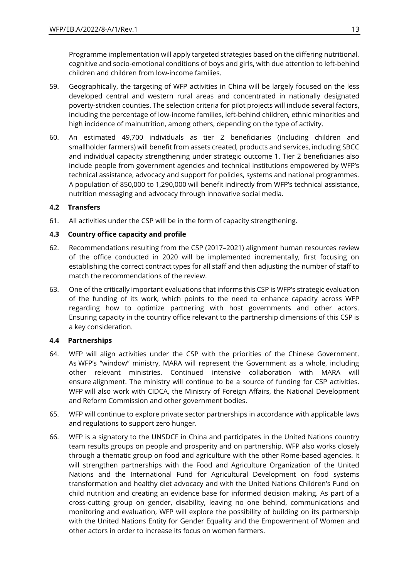Programme implementation will apply targeted strategies based on the differing nutritional, cognitive and socio-emotional conditions of boys and girls, with due attention to left-behind children and children from low-income families.

- 59. Geographically, the targeting of WFP activities in China will be largely focused on the less developed central and western rural areas and concentrated in nationally designated poverty-stricken counties. The selection criteria for pilot projects will include several factors, including the percentage of low-income families, left-behind children, ethnic minorities and high incidence of malnutrition, among others, depending on the type of activity.
- 60. An estimated 49,700 individuals as tier 2 beneficiaries (including children and smallholder farmers) will benefit from assets created, products and services, including SBCC and individual capacity strengthening under strategic outcome 1. Tier 2 beneficiaries also include people from government agencies and technical institutions empowered by WFP's technical assistance, advocacy and support for policies, systems and national programmes. A population of 850,000 to 1,290,000 will benefit indirectly from WFP's technical assistance, nutrition messaging and advocacy through innovative social media.

#### **4.2 Transfers**

61. All activities under the CSP will be in the form of capacity strengthening.

#### **4.3 Country office capacity and profile**

- 62. Recommendations resulting from the CSP (2017–2021) alignment human resources review of the office conducted in 2020 will be implemented incrementally, first focusing on establishing the correct contract types for all staff and then adjusting the number of staff to match the recommendations of the review.
- 63. One of the critically important evaluations that informs this CSP is WFP's strategic evaluation of the funding of its work, which points to the need to enhance capacity across WFP regarding how to optimize partnering with host governments and other actors. Ensuring capacity in the country office relevant to the partnership dimensions of this CSP is a key consideration.

#### **4.4 Partnerships**

- 64. WFP will align activities under the CSP with the priorities of the Chinese Government. As WFP's "window" ministry, MARA will represent the Government as a whole, including other relevant ministries. Continued intensive collaboration with MARA will ensure alignment. The ministry will continue to be a source of funding for CSP activities. WFP will also work with CIDCA, the Ministry of Foreign Affairs, the National Development and Reform Commission and other government bodies.
- 65. WFP will continue to explore private sector partnerships in accordance with applicable laws and regulations to support zero hunger.
- 66. WFP is a signatory to the UNSDCF in China and participates in the United Nations country team results groups on people and prosperity and on partnership. WFP also works closely through a thematic group on food and agriculture with the other Rome-based agencies. It will strengthen partnerships with the Food and Agriculture Organization of the United Nations and the International Fund for Agricultural Development on food systems transformation and healthy diet advocacy and with the United Nations Children's Fund on child nutrition and creating an evidence base for informed decision making. As part of a cross-cutting group on gender, disability, leaving no one behind, communications and monitoring and evaluation, WFP will explore the possibility of building on its partnership with the United Nations Entity for Gender Equality and the Empowerment of Women and other actors in order to increase its focus on women farmers.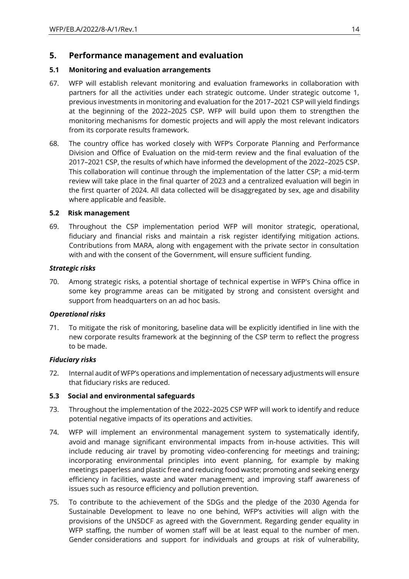## **5. Performance management and evaluation**

### **5.1 Monitoring and evaluation arrangements**

- 67. WFP will establish relevant monitoring and evaluation frameworks in collaboration with partners for all the activities under each strategic outcome. Under strategic outcome 1, previous investments in monitoring and evaluation for the 2017–2021 CSP will yield findings at the beginning of the 2022–2025 CSP. WFP will build upon them to strengthen the monitoring mechanisms for domestic projects and will apply the most relevant indicators from its corporate results framework.
- 68. The country office has worked closely with WFP's Corporate Planning and Performance Division and Office of Evaluation on the mid-term review and the final evaluation of the 2017–2021 CSP, the results of which have informed the development of the 2022–2025 CSP. This collaboration will continue through the implementation of the latter CSP; a mid-term review will take place in the final quarter of 2023 and a centralized evaluation will begin in the first quarter of 2024. All data collected will be disaggregated by sex, age and disability where applicable and feasible.

#### **5.2 Risk management**

69. Throughout the CSP implementation period WFP will monitor strategic, operational, fiduciary and financial risks and maintain a risk register identifying mitigation actions. Contributions from MARA, along with engagement with the private sector in consultation with and with the consent of the Government, will ensure sufficient funding.

#### *Strategic risks*

70. Among strategic risks, a potential shortage of technical expertise in WFP's China office in some key programme areas can be mitigated by strong and consistent oversight and support from headquarters on an ad hoc basis.

#### *Operational risks*

71. To mitigate the risk of monitoring, baseline data will be explicitly identified in line with the new corporate results framework at the beginning of the CSP term to reflect the progress to be made.

#### *Fiduciary risks*

72. Internal audit of WFP's operations and implementation of necessary adjustments will ensure that fiduciary risks are reduced.

### **5.3 Social and environmental safeguards**

- 73. Throughout the implementation of the 2022–2025 CSP WFP will work to identify and reduce potential negative impacts of its operations and activities.
- 74. WFP will implement an environmental management system to systematically identify, avoid and manage significant environmental impacts from in-house activities. This will include reducing air travel by promoting video-conferencing for meetings and training; incorporating environmental principles into event planning, for example by making meetings paperless and plastic free and reducing food waste; promoting and seeking energy efficiency in facilities, waste and water management; and improving staff awareness of issues such as resource efficiency and pollution prevention.
- 75. To contribute to the achievement of the SDGs and the pledge of the 2030 Agenda for Sustainable Development to leave no one behind, WFP's activities will align with the provisions of the UNSDCF as agreed with the Government. Regarding gender equality in WFP staffing, the number of women staff will be at least equal to the number of men. Gender considerations and support for individuals and groups at risk of vulnerability,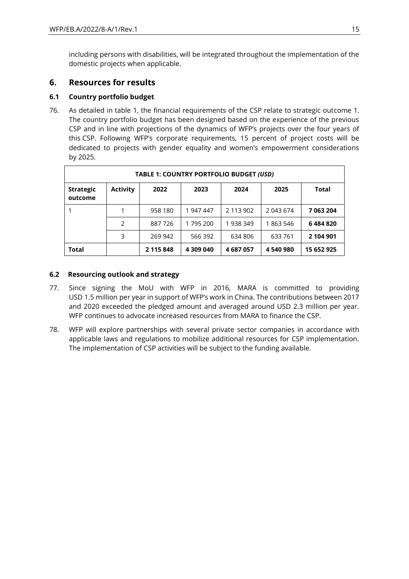including persons with disabilities, will be integrated throughout the implementation of the domestic projects when applicable.

## **6. Resources for results**

#### **6.1 Country portfolio budget**

76. As detailed in table 1, the financial requirements of the CSP relate to strategic outcome 1. The country portfolio budget has been designed based on the experience of the previous CSP and in line with projections of the dynamics of WFP's projects over the four years of this CSP. Following WFP's corporate requirements, 15 percent of project costs will be dedicated to projects with gender equality and women's empowerment considerations by 2025.

| TABLE 1: COUNTRY PORTFOLIO BUDGET (USD) |                 |           |           |           |           |              |
|-----------------------------------------|-----------------|-----------|-----------|-----------|-----------|--------------|
| <b>Strategic</b><br>outcome             | <b>Activity</b> | 2022      | 2023      | 2024      | 2025      | <b>Total</b> |
|                                         |                 | 958 180   | 1 947 447 | 2 113 902 | 2 043 674 | 7 063 204    |
|                                         | $\mathcal{L}$   | 887726    | 1795200   | 938 349   | 1863546   | 6484820      |
|                                         | 3               | 269 942   | 566 392   | 634 806   | 633 761   | 2 104 901    |
| Total                                   |                 | 2 115 848 | 4 309 040 | 4 687 057 | 4540980   | 15 652 925   |

#### **6.2 Resourcing outlook and strategy**

- 77. Since signing the MoU with WFP in 2016, MARA is committed to providing USD 1.5 million per year in support of WFP's work in China. The contributions between 2017 and 2020 exceeded the pledged amount and averaged around USD 2.3 million per year. WFP continues to advocate increased resources from MARA to finance the CSP.
- 78. WFP will explore partnerships with several private sector companies in accordance with applicable laws and regulations to mobilize additional resources for CSP implementation. The implementation of CSP activities will be subject to the funding available.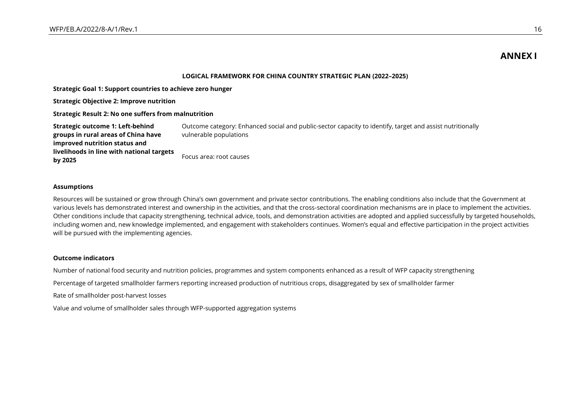### **ANNEX I**

#### **LOGICAL FRAMEWORK FOR CHINA COUNTRY STRATEGIC PLAN (2022–2025)**

**Strategic Goal 1: Support countries to achieve zero hunger**

**Strategic Objective 2: Improve nutrition**

**Strategic Result 2: No one suffers from malnutrition**

**Strategic outcome 1: Left-behind groups in rural areas of China have improved nutrition status and livelihoods in line with national targets by 2025** Outcome category: Enhanced social and public-sector capacity to identify, target and assist nutritionally vulnerable populations Focus area: root causes

#### **Assumptions**

Resources will be sustained or grow through China's own government and private sector contributions. The enabling conditions also include that the Government at various levels has demonstrated interest and ownership in the activities, and that the cross-sectoral coordination mechanisms are in place to implement the activities. Other conditions include that capacity strengthening, technical advice, tools, and demonstration activities are adopted and applied successfully by targeted households, including women and, new knowledge implemented, and engagement with stakeholders continues. Women's equal and effective participation in the project activities will be pursued with the implementing agencies.

#### **Outcome indicators**

Number of national food security and nutrition policies, programmes and system components enhanced as a result of WFP capacity strengthening

Percentage of targeted smallholder farmers reporting increased production of nutritious crops, disaggregated by sex of smallholder farmer

Rate of smallholder post-harvest losses

Value and volume of smallholder sales through WFP-supported aggregation systems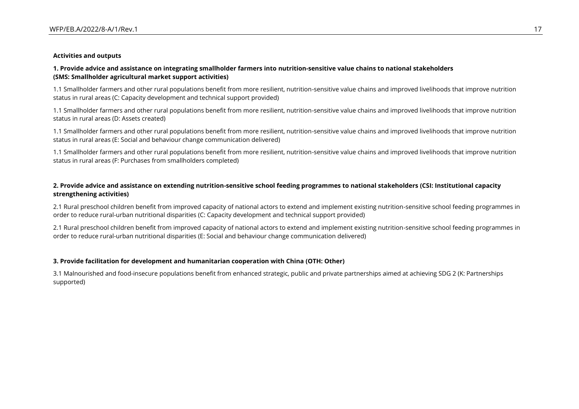#### **Activities and outputs**

#### **1. Provide advice and assistance on integrating smallholder farmers into nutrition-sensitive value chains to national stakeholders (SMS: Smallholder agricultural market support activities)**

1.1 Smallholder farmers and other rural populations benefit from more resilient, nutrition-sensitive value chains and improved livelihoods that improve nutrition status in rural areas (C: Capacity development and technical support provided)

1.1 Smallholder farmers and other rural populations benefit from more resilient, nutrition-sensitive value chains and improved livelihoods that improve nutrition status in rural areas (D: Assets created)

1.1 Smallholder farmers and other rural populations benefit from more resilient, nutrition-sensitive value chains and improved livelihoods that improve nutrition status in rural areas (E: Social and behaviour change communication delivered)

1.1 Smallholder farmers and other rural populations benefit from more resilient, nutrition-sensitive value chains and improved livelihoods that improve nutrition status in rural areas (F: Purchases from smallholders completed)

#### **2. Provide advice and assistance on extending nutrition-sensitive school feeding programmes to national stakeholders (CSI: Institutional capacity strengthening activities)**

2.1 Rural preschool children benefit from improved capacity of national actors to extend and implement existing nutrition-sensitive school feeding programmes in order to reduce rural-urban nutritional disparities (C: Capacity development and technical support provided)

2.1 Rural preschool children benefit from improved capacity of national actors to extend and implement existing nutrition-sensitive school feeding programmes in order to reduce rural-urban nutritional disparities (E: Social and behaviour change communication delivered)

#### **3. Provide facilitation for development and humanitarian cooperation with China (OTH: Other)**

3.1 Malnourished and food-insecure populations benefit from enhanced strategic, public and private partnerships aimed at achieving SDG 2 (K: Partnerships supported)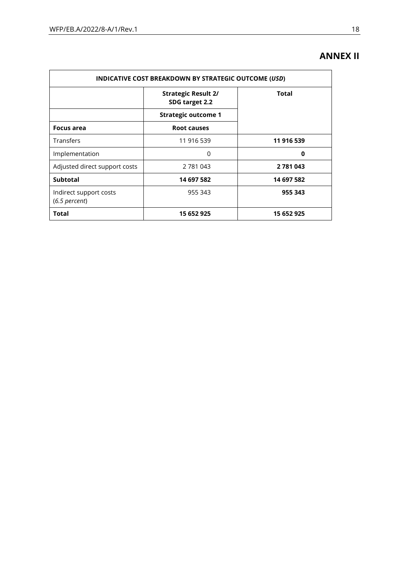## **ANNEX II**

| INDICATIVE COST BREAKDOWN BY STRATEGIC OUTCOME (USD) |                                              |            |  |  |
|------------------------------------------------------|----------------------------------------------|------------|--|--|
|                                                      | <b>Strategic Result 2/</b><br>SDG target 2.2 | Total      |  |  |
|                                                      | <b>Strategic outcome 1</b>                   |            |  |  |
| Focus area                                           | Root causes                                  |            |  |  |
| <b>Transfers</b>                                     | 11 916 539                                   | 11 916 539 |  |  |
| Implementation                                       | $\mathbf{0}$                                 | $\bf{0}$   |  |  |
| Adjusted direct support costs                        | 2 781 043                                    | 2781043    |  |  |
| <b>Subtotal</b>                                      | 14 697 582                                   | 14 697 582 |  |  |
| Indirect support costs<br>$(6.5$ percent)            | 955 343                                      | 955 343    |  |  |
| Total                                                | 15 652 925                                   | 15 652 925 |  |  |